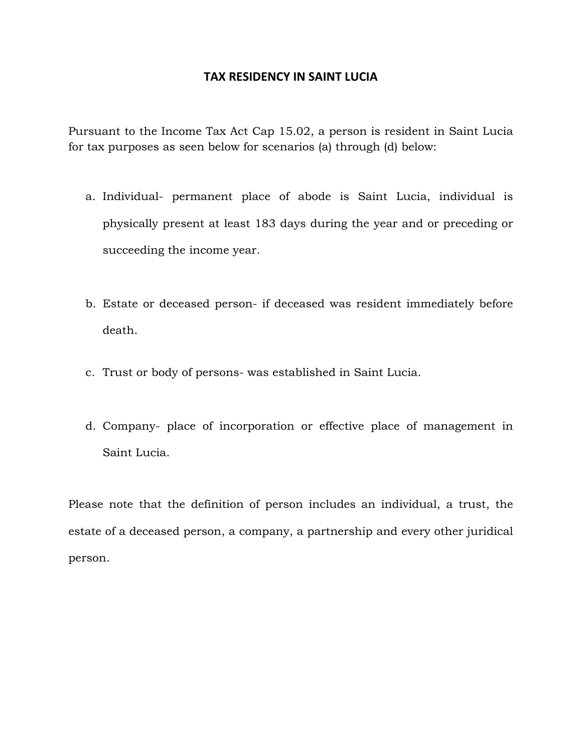## **TAX RESIDENCY IN SAINT LUCIA**

Pursuant to the Income Tax Act Cap 15.02, a person is resident in Saint Lucia for tax purposes as seen below for scenarios (a) through (d) below:

- a. Individual- permanent place of abode is Saint Lucia, individual is physically present at least 183 days during the year and or preceding or succeeding the income year.
- b. Estate or deceased person- if deceased was resident immediately before death.
- c. Trust or body of persons- was established in Saint Lucia.
- d. Company- place of incorporation or effective place of management in Saint Lucia.

Please note that the definition of person includes an individual, a trust, the estate of a deceased person, a company, a partnership and every other juridical person.